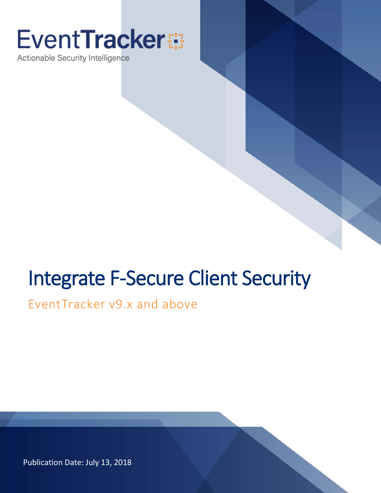# **EventTracker**

Actionable Security Intelligence

# Integrate F-Secure Client Security

### EventTracker v9.x and above

Publication Date: July 13, 2018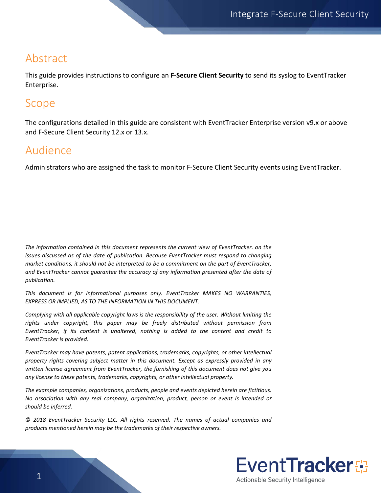### <span id="page-1-0"></span>Abstract

This guide provides instructions to configure an **F-Secure Client Security** to send its syslog to EventTracker Enterprise.

### <span id="page-1-1"></span>Scope

The configurations detailed in this guide are consistent with EventTracker Enterprise version v9.x or above and F-Secure Client Security 12.x or 13.x.

### <span id="page-1-2"></span>Audience

Administrators who are assigned the task to monitor F-Secure Client Security events using EventTracker.

*The information contained in this document represents the current view of EventTracker. on the issues discussed as of the date of publication. Because EventTracker must respond to changing market conditions, it should not be interpreted to be a commitment on the part of EventTracker, and EventTracker cannot guarantee the accuracy of any information presented after the date of publication.* 

*This document is for informational purposes only. EventTracker MAKES NO WARRANTIES, EXPRESS OR IMPLIED, AS TO THE INFORMATION IN THIS DOCUMENT.* 

*Complying with all applicable copyright laws is the responsibility of the user. Without limiting the*  rights under copyright, this paper may be freely distributed without permission from *EventTracker, if its content is unaltered, nothing is added to the content and credit to EventTracker is provided.* 

*EventTracker may have patents, patent applications, trademarks, copyrights, or other intellectual property rights covering subject matter in this document. Except as expressly provided in any written license agreement from EventTracker, the furnishing of this document does not give you any license to these patents, trademarks, copyrights, or other intellectual property.* 

*The example companies, organizations, products, people and events depicted herein are fictitious. No association with any real company, organization, product, person or event is intended or should be inferred.* 

*© 2018 EventTracker Security LLC. All rights reserved. The names of actual companies and products mentioned herein may be the trademarks of their respective owners.*

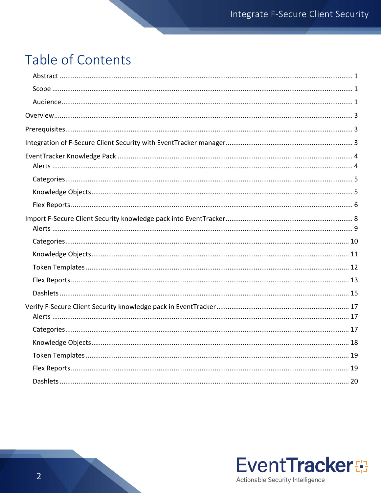# Table of Contents

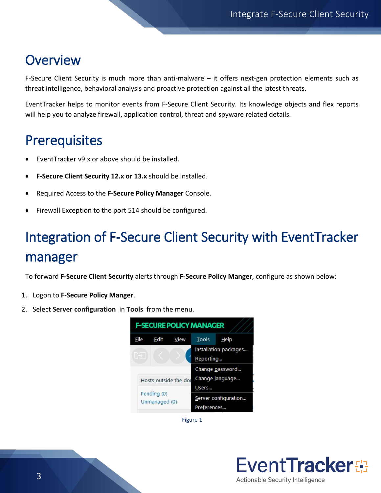# <span id="page-3-0"></span>**Overview**

F-Secure Client Security is much more than anti-malware – it offers next-gen protection elements such as threat intelligence, behavioral analysis and proactive protection against all the latest threats.

EventTracker helps to monitor events from F-Secure Client Security. Its knowledge objects and flex reports will help you to analyze firewall, application control, threat and spyware related details.

# <span id="page-3-1"></span>**Prerequisites**

- EventTracker v9.x or above should be installed.
- **F-Secure Client Security 12.x or 13.x** should be installed.
- Required Access to the **F-Secure Policy Manager** Console.
- Firewall Exception to the port 514 should be configured.

# <span id="page-3-2"></span>Integration of F-Secure Client Security with EventTracker manager

To forward **F-Secure Client Security** alerts through **F-Secure Policy Manger**, configure as shown below:

- 1. Logon to **F-Secure Policy Manger**.
- 2. Select **Server configuration** in **Tools** from the menu.



Figure 1

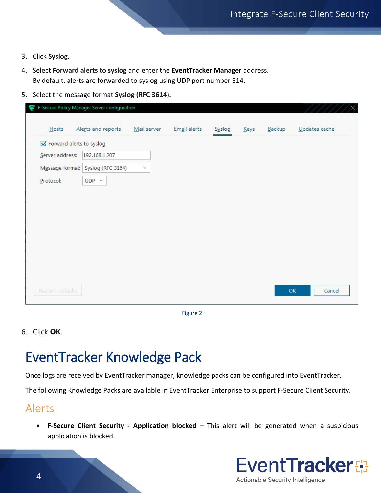- 3. Click **Syslog**.
- 4. Select **Forward alerts to syslog** and enter the **EventTracker Manager** address. By default, alerts are forwarded to syslog using UDP port number 514.
- 5. Select the message format **Syslog (RFC 3614).**

|                            | F-Secure Policy Manager Server configuration |              |              |        |      |                                |               |
|----------------------------|----------------------------------------------|--------------|--------------|--------|------|--------------------------------|---------------|
| Hosts                      | Alerts and reports                           | Mail server  | Email alerts | Syslog | Keys | $\mathbf{\underline{B}}$ ackup | Updates cache |
| K Eorward alerts to syslog |                                              |              |              |        |      |                                |               |
| Server address:            | 192.168.1.207                                |              |              |        |      |                                |               |
|                            | Message format: Syslog (RFC 3164)            | $\checkmark$ |              |        |      |                                |               |
| Protocol:                  | $UDP \sim$                                   |              |              |        |      |                                |               |
|                            |                                              |              |              |        |      |                                |               |
|                            |                                              |              |              |        |      |                                |               |
|                            |                                              |              |              |        |      |                                |               |
|                            |                                              |              |              |        |      |                                |               |
|                            |                                              |              |              |        |      |                                |               |
|                            |                                              |              |              |        |      |                                |               |
|                            |                                              |              |              |        |      |                                |               |
|                            |                                              |              |              |        |      |                                |               |
|                            |                                              |              |              |        |      |                                |               |
| Restore defaults           |                                              |              |              |        |      |                                | OK<br>Cancel  |

Figure 2

6. Click **OK**.

# <span id="page-4-0"></span>EventTracker Knowledge Pack

Once logs are received by EventTracker manager, knowledge packs can be configured into EventTracker.

The following Knowledge Packs are available in EventTracker Enterprise to support F-Secure Client Security.

### <span id="page-4-1"></span>Alerts

• **F-Secure Client Security - Application blocked –** This alert will be generated when a suspicious application is blocked.

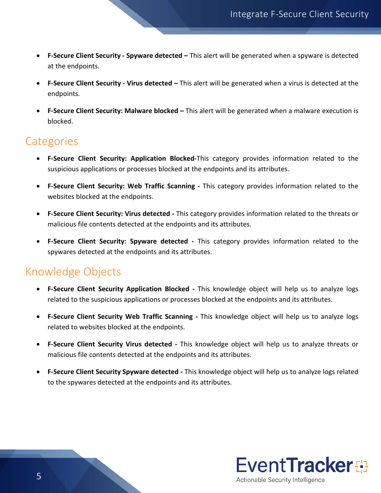- **F-Secure Client Security - Spyware detected –** This alert will be generated when a spyware is detected at the endpoints.
- **F-Secure Client Security - Virus detected –** This alert will be generated when a virus is detected at the endpoints.
- **F-Secure Client Security: Malware blocked –** This alert will be generated when a malware execution is blocked.

### <span id="page-5-0"></span>**Categories**

- **F-Secure Client Security: Application Blocked-**This category provides information related to the suspicious applications or processes blocked at the endpoints and its attributes.
- **F-Secure Client Security: Web Traffic Scanning -** This category provides information related to the websites blocked at the endpoints.
- **F-Secure Client Security: Virus detected -** This category provides information related to the threats or malicious file contents detected at the endpoints and its attributes.
- **F-Secure Client Security: Spyware detected -** This category provides information related to the spywares detected at the endpoints and its attributes.

### <span id="page-5-1"></span>Knowledge Objects

- **F-Secure Client Security Application Blocked -** This knowledge object will help us to analyze logs related to the suspicious applications or processes blocked at the endpoints and its attributes.
- **F-Secure Client Security Web Traffic Scanning -** This knowledge object will help us to analyze logs related to websites blocked at the endpoints.
- **F-Secure Client Security Virus detected -** This knowledge object will help us to analyze threats or malicious file contents detected at the endpoints and its attributes.
- **F-Secure Client Security Spyware detected -** This knowledge object will help us to analyze logs related to the spywares detected at the endpoints and its attributes.

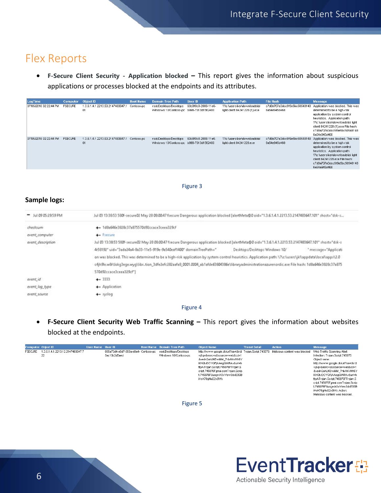### <span id="page-6-0"></span>Flex Reports

• **F-Secure Client Security - Application blocked –** This report gives the information about suspicious applications or processes blocked at the endpoints and its attributes.

| LogTime                | Computer       | Object ID                              | <b>Host Name</b> | <b>Domain Tree Path</b>                                           | User ID             | <b>Application Path</b>                                      | <b>File Hash</b>                             | <b>Message</b>                                                                                                                                                                                                                                                   |
|------------------------|----------------|----------------------------------------|------------------|-------------------------------------------------------------------|---------------------|--------------------------------------------------------------|----------------------------------------------|------------------------------------------------------------------------------------------------------------------------------------------------------------------------------------------------------------------------------------------------------------------|
| 07/05/2018 02:22:44 PM | <b>FSECURE</b> | 1.3.6.1.4.1.2213.53.2147483647.1<br>01 | Contoso-pc       | root/Desktops/Desktops<br>Windows 10/Contoso-pc b998-7013d1562400 | 60c8f0c8-2808-11e6- | Wc: users ksr\downloads\isl<br>light client 84241228 (1).exe | c7d8a707a3dcc9f9e5bc50548148<br>6a54e945d468 | Application was blocked. This was<br>determined to be a high-risk<br>application by system control<br>heuristics. Application path:<br>\?\c:\users\ksr\downloads\isl light<br>client 84241228 (1).exe File hash:<br>c7d8a707a3dcc9f9e5bc50548148<br>6a54e945d468 |
| 07/05/2018 02:22:44 PM | <b>FSECURE</b> | 1.3.6.1.4.1.2213.53.2147483647.1<br>01 | Contoso-pc       | root/Desktops/Desktops<br>Windows 10/Contoso-pc b998-7013d1562400 | 60c8f0c8-2808-11e6- | 1?'c: users ksr\downloads\isl<br>light client 84241228.exe   | c7d8a707a3dcc9f9e5bc50548148<br>6a54e945d468 | Application was blocked. This was<br>determined to be a high-risk<br>application by system control<br>heuristics. Application path:<br>\?\c:\users\ksr\downloads\isl light<br>client 84241228.exe File hash:<br>c7d8a707a3dcc9f9e5bc50548148<br>6a54e945d468     |

Figure 3

#### **Sample logs:**

| $-$ Jul 09 05:29:59 PM | Jul 03 13:38:53 580f-secure02 May 28 08:00:47 fsecure Dangerous application blocked [alertMeta@0 oid="1.3.6.1.4.1.2213.53.2147483647.101" shost="dsk-s   |                               |                      |
|------------------------|----------------------------------------------------------------------------------------------------------------------------------------------------------|-------------------------------|----------------------|
| checksum               | +- 1d8a646e3828c37a875570d92ccace3ceea329cf                                                                                                              |                               |                      |
| event_computer         | +- Frecure                                                                                                                                               |                               |                      |
| event description      | Jul 03 13:38:53 580f-secure02 May 28 08:00:47 fsecure Dangerous application blocked [alertMeta@0 oid="1.3.6.1.4.1.2213.53.2147483647.101" shost="dsk-s   |                               |                      |
|                        | 4r58192" uid="3ada24a4-8a33-11e5-919e-9a540eaf1400" domainTreePath="                                                                                     | Desktops/Desktops Windows 10/ | * message="Applicati |
|                        | on was blocked. This was determined to be a high-risk application by system control heuristics. Application path: \?\c:\users\jkl\appdata\local\apps\2.0 |                               |                      |
|                        | c4jh9le.w8r\lokq3eqe.wyq\librtion_3dfe2efc282aafa8_0001.0004_ab1afde63804386e\libraryadministrationazurenordic.exe File hash: 1d8a646e3828c37a875        |                               |                      |
|                        | 570d92ccace3ceea329cf"]                                                                                                                                  |                               |                      |
| event id               | $+-33333$                                                                                                                                                |                               |                      |
| event_log_type         | +- Application                                                                                                                                           |                               |                      |
| event source           | $+-$ syslog                                                                                                                                              |                               |                      |

Figure 4

• **F-Secure Client Security Web Traffic Scanning –** This report gives the information about websites blocked at the endpoints.

| Computer Object ID |                                        | User Name User ID |                                                                            | <b>Host Name</b> Domain Tree Path | <b>Object Name</b>                                                                                                                                                                                                                                                                                               | <b>Threat Detail</b> | <b>Action</b> | <b>Message</b>                                                                                                                                                                                                                                                                                                                                                                          |
|--------------------|----------------------------------------|-------------------|----------------------------------------------------------------------------|-----------------------------------|------------------------------------------------------------------------------------------------------------------------------------------------------------------------------------------------------------------------------------------------------------------------------------------------------------------|----------------------|---------------|-----------------------------------------------------------------------------------------------------------------------------------------------------------------------------------------------------------------------------------------------------------------------------------------------------------------------------------------------------------------------------------------|
| <b>FSECURE</b>     | 1.3.6.1.4.1.2213.12.2147483647.7<br>22 |                   | 095a73d4-a9d7-955a-e0a4- Contoso-pc root/Desktops/Desktops<br>5ac10b2d5aed | Windows 10/Contoso-pc             | http://www.google.dk/url?sa=t&rct_Trojan.Script.745076 Malicious content was blocked<br>=i&a=&esrc=s&source=web&cd=1<br>&ved=2ahUKEwililiM 7nbAhVHh6Y<br>KHQtvDOYQFjAAeqQlARAv&url=h<br>ttpATroian.Script.745076FTroian.S<br>cript.745076Fgmai.comTrojan.Scrip<br>t.745076F&usq=AOvVaw3dxE3SB<br>iHsK78aNuS2x8Wx |                      |               | Web Traffic Scanning Alert<br>Infection: Troian.Script.745076<br>Object name:<br>http://www.google.dk/url?sa=t&rct<br>=i&g=&esrc=s&source=web&cd=1<br>&ved=2ahUKEwililM 7nbAhVHh6Y<br>KHQtvDOYQFiAAeqQIARAv&url=h<br>ttpATrojan.Script.745076FTrojan.S<br>cript.745076Fqmai.comTrojan.Scrip<br>t.745076F&usq=AOvVaw3dxE3SB<br>iHsK78aNuS2x8Wx Action:<br>Malicious content was blocked. |
|                    |                                        |                   |                                                                            | --                                |                                                                                                                                                                                                                                                                                                                  |                      |               |                                                                                                                                                                                                                                                                                                                                                                                         |

Figure 5

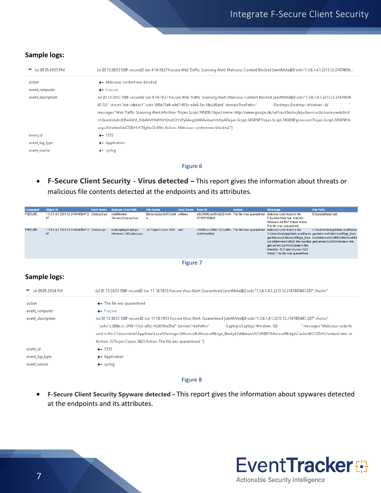#### **Sample logs:**

| $=$ Jul 09 05:29:55 PM | Jul 03 13:38:53 580f-secure02 Jun 4 14:19:27 fsecure Web Traffic Scanning Alert: Malicious Content Blocked [alertMeta@0 oid="1.3.6.1.4.1.2213.12.21474836 |
|------------------------|-----------------------------------------------------------------------------------------------------------------------------------------------------------|
| action                 | + Malicious content was blocked                                                                                                                           |
| event_computer         | ++ Fsecure                                                                                                                                                |
| event description      | Jul 03 13:38:53 580f-secure02 Jun 4 14:19:27 fsecure Web Traffic Scanning Alert: Malicious Content Blocked [alertMeta@0 oid="1.3.6.1.4.1.2213.12.21474836 |
|                        | 47.722" shost="dsk-s4bkex1" uid="095a73d4-a9d7-955a-e0a4-5ac10b2d5aed" domainTreePath="<br>/Desktops/Desktops Windows 10/                                 |
|                        | message="Web Traffic Scanning Alert Infection: Trojan.Script.745076 Object name: http://www.google.dk/url?sa=t&rct=j&g=&esrc=s&source=web&cd              |
|                        | =1&ved=2ahUKEwililiM_7nbAhVHh6YKHQtvDOYQFjAAegQJARAv&url=httpATrojan.Script.745076FTrojan.Script.745076Fqmai.comTrojan.Script.745076F&                    |
|                        | usg=AOvVaw3dxE3SBiHsK78gNuS2x8Wx Action: Malicious content was blocked."]                                                                                 |
| event id               | $+ - 3333$                                                                                                                                                |
| event_log_type         | + Application                                                                                                                                             |
| event_source           | $+$ - syslog                                                                                                                                              |
|                        |                                                                                                                                                           |

#### Figure 6

• **F-Secure Client Security - Virus detected –** This report gives the information about threats or malicious file contents detected at the endpoints and its attributes.

| <b>Computer</b> | Object ID                                          | Host Name | <b>Domain Tree Path</b>                       | <b>File Name</b>           | <b>User Name</b> | User ID                                                           | <b>Action</b> | <b>Message</b>                                                                                                                                                                                           | <b>File Path</b>                                                                                                                                                       |
|-----------------|----------------------------------------------------|-----------|-----------------------------------------------|----------------------------|------------------|-------------------------------------------------------------------|---------------|----------------------------------------------------------------------------------------------------------------------------------------------------------------------------------------------------------|------------------------------------------------------------------------------------------------------------------------------------------------------------------------|
| <b>FSECURE</b>  | 1.3.6.1.4.1.2213.12.2147483647.2 Contoso2-pc<br>07 |           | root/Member<br>Servers/Contoso2-pc            | BehavesLike:BAT.Delet<br>е | williams         | e6c01642-ae95-9a22-1bf4- The file was quarantined<br>075797350b2f |               | Malicious code found in file<br>E: \icp\start\start.bat. Infection:<br>BehavesLike:BAT.Delete Action:<br>The file was quarantined.                                                                       | E:\icp\start\start.bat.                                                                                                                                                |
| <b>FSECURE</b>  | 1.3.6.1.4.1.2213.12.2147483647.2 Contoso-pc<br>07  |           | root/Laptops/Laptops<br>Windows 10/Contoso-pc | JS:Trojan.Cryxos.1623 sam  |                  | c3006ccc-2f9d-11b2-a85c- The file was quarantined<br>fd261fba95af |               | Malicious code found in file<br>kyb3d8bbwe\AC\#!001\MicrosoftEd_ae\Cache\CSZ4R4XD\index4.htm.<br>ge\Cache\CSZ4R4XD\index4.htm.<br>Infection: JS: Trojan.Cryxos.1623<br>Action: The file was quarantined. | C:\Users\hnb\AppData\Local\Packa<br>C:\Users\hnb\AppData\Local\Packa_ges\Microsoft.MicrosoftEdge_8we_<br>gesWicrosoft.MicrosoftEdge 8we kyb3d8bbwe\AC\#001\MicrosoftEd |

#### Figure 7

#### **Sample logs:**

| $-$ Jul 09 05:29:54 PM | "Jul 03 13:38:53 580f-secure02 Jun 11 10:19:53 fsecure Virus Alert: Quarantined [alertMeta@0 oid="1.3.6.1.4.1.2213.12.2147483647.207" shost=" |                              |                              |
|------------------------|-----------------------------------------------------------------------------------------------------------------------------------------------|------------------------------|------------------------------|
| action                 | +- The file was quarantined                                                                                                                   |                              |                              |
| event_computer         | +- Fsecure                                                                                                                                    |                              |                              |
| event description      | "Jul 03 13:38:53 580f-secure02 Jun 11 10:19:53 fsecure Virus Alert: Quarantined [alertMeta@0 oid="1.3.6.1.4.1.2213.12.2147483647.207" shost=" |                              |                              |
|                        | "uid="c3006ccc-2f9d-11b2-a85c-fd261fba95af" domainTreePath="                                                                                  | 'Laptops/Laptops Windows 10/ | " message="Malicious code fo |
|                        | und in file C:\Users\hnb\AppData\Local\Packages\Microsoft.MicrosoftEdge_&wekyb3d8bbwe\AC\#!001\MicrosoftEdge\Cache\BOCIZVGC\index2.htm. In    |                              |                              |
|                        | fection: JS:Trojan.Cryxos.1623 Action: The file was quarantined. "]                                                                           |                              |                              |
| event_id               | $+$ 3333                                                                                                                                      |                              |                              |
| event_log_type         | + Application                                                                                                                                 |                              |                              |
| event_source           | $+$ - syslog                                                                                                                                  |                              |                              |
|                        |                                                                                                                                               |                              |                              |

#### Figure 8

• **F-Secure Client Security Spyware detected –** This report gives the information about spywares detected at the endpoints and its attributes.

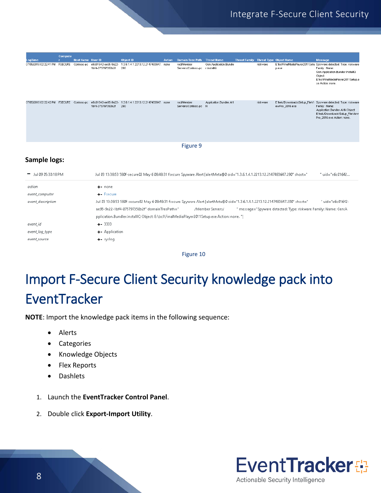| ogTime                                    |                |                                        |                     |                                                                                                                                  |               |                                                    |                         |                                       |          |                                                                 |                                                                                    |
|-------------------------------------------|----------------|----------------------------------------|---------------------|----------------------------------------------------------------------------------------------------------------------------------|---------------|----------------------------------------------------|-------------------------|---------------------------------------|----------|-----------------------------------------------------------------|------------------------------------------------------------------------------------|
| 07/05/2018 02:22:41 PM                    | <b>FSECURE</b> | <b>Host Name</b> User ID<br>Contoso-pc | e6c01642-ae95-9a22- | Object ID<br>1.3.6.1.4.1.2213.12.2147483647. none                                                                                | <b>Action</b> | <b>Domain Tree Path Threat Name</b><br>root/Member | Gen: Application Bundle | Threat Family Threat Type Object Name | riskware |                                                                 | <b>Message</b><br>E:\bcl\FinalMediaPlayer2011Setu Spyware detected: Type: riskware |
|                                           |                |                                        | 1bf4-075797350b2f   | 290                                                                                                                              |               | Servers/Contoso-pc r.installIQ                     |                         |                                       |          | p.exe                                                           | Family: Name:<br>Gen: Application.Bundler.InstallIQ                                |
|                                           |                |                                        |                     |                                                                                                                                  |               |                                                    |                         |                                       |          |                                                                 | Object:                                                                            |
|                                           |                |                                        |                     |                                                                                                                                  |               |                                                    |                         |                                       |          |                                                                 | E:\bcl\FinalMediaPlayer2011Setup.e<br>xe Action: none.                             |
|                                           |                |                                        |                     |                                                                                                                                  |               |                                                    |                         |                                       |          |                                                                 |                                                                                    |
|                                           |                |                                        |                     |                                                                                                                                  |               |                                                    |                         |                                       |          |                                                                 |                                                                                    |
| 07/05/2018 02:22:42 PM FSECURE Contoso-pc |                |                                        | 1bf4-075797350b2f   | e6c01642-ae95-9a22- 1.3.6.1.4.1.2213.12.2147483647. none<br>290                                                                  |               | root/Member<br>Servers/Contoso-pc N                | Application.Bundler.AH  |                                       | riskware | E: kelu/Downloads\Setup_FileVi<br>ewPro_2016.exe                | Spyware detected: Type: riskware<br>Family: Name:                                  |
|                                           |                |                                        |                     |                                                                                                                                  |               |                                                    |                         |                                       |          |                                                                 | Application.Bundler.AHN Object:<br>E:\kelu\Downloads\Setup_File\/iew               |
|                                           |                |                                        |                     |                                                                                                                                  |               |                                                    |                         |                                       |          |                                                                 | Pro_2016.exe Action: none.                                                         |
|                                           |                |                                        |                     |                                                                                                                                  |               |                                                    |                         |                                       |          |                                                                 |                                                                                    |
|                                           |                |                                        |                     |                                                                                                                                  |               |                                                    |                         |                                       |          |                                                                 |                                                                                    |
|                                           |                |                                        |                     |                                                                                                                                  |               |                                                    |                         |                                       |          |                                                                 |                                                                                    |
|                                           |                |                                        |                     |                                                                                                                                  |               |                                                    |                         |                                       |          |                                                                 |                                                                                    |
|                                           |                |                                        |                     |                                                                                                                                  |               | Figure 9                                           |                         |                                       |          |                                                                 |                                                                                    |
|                                           |                |                                        |                     |                                                                                                                                  |               |                                                    |                         |                                       |          |                                                                 |                                                                                    |
| Sample logs:                              |                |                                        |                     |                                                                                                                                  |               |                                                    |                         |                                       |          |                                                                 |                                                                                    |
|                                           |                |                                        |                     |                                                                                                                                  |               |                                                    |                         |                                       |          |                                                                 |                                                                                    |
| Jul 09 05:30:18 PM                        |                |                                        |                     | Jul 03 13:38:53 580f-secure02 May 6 08:48:31 fsecure Spyware Alert [alertMeta@0 oid="1.3.6.1.4.1.2213.12.2147483647.290" shost=" |               |                                                    |                         |                                       |          |                                                                 | " uid="e6c01642                                                                    |
|                                           |                |                                        |                     |                                                                                                                                  |               |                                                    |                         |                                       |          |                                                                 |                                                                                    |
| action                                    |                |                                        | $+$ - none          |                                                                                                                                  |               |                                                    |                         |                                       |          |                                                                 |                                                                                    |
| event_computer                            |                |                                        | ++ Fsecure          |                                                                                                                                  |               |                                                    |                         |                                       |          |                                                                 |                                                                                    |
| event_description                         |                |                                        |                     | Jul 03 13:38:53 580f-secure02 May 6 08:48:31 fsecure Spyware Alert [alertMeta@0 oid="1.3.6.1.4.1.2213.12.2147483647.290" shost=" |               |                                                    |                         |                                       |          |                                                                 | 'uid="e6c01642-                                                                    |
|                                           |                |                                        |                     | ae95-9a22-1bf4-075797350b2f" domainTreePath="                                                                                    |               |                                                    | /Member Servers/        |                                       |          | " message="Spyware detected: Type: riskware Family: Name: Gen:A |                                                                                    |
|                                           |                |                                        |                     | pplication.Bundler.InstallIQ Object: E:\bcl\FinalMediaPlayer2011Setup.exe Action: none. "]                                       |               |                                                    |                         |                                       |          |                                                                 |                                                                                    |
| event id                                  |                |                                        | $-3333$             |                                                                                                                                  |               |                                                    |                         |                                       |          |                                                                 |                                                                                    |
| event_log_type                            |                |                                        | + Application       |                                                                                                                                  |               |                                                    |                         |                                       |          |                                                                 |                                                                                    |

Figure 10

# <span id="page-8-0"></span>Import F-Secure Client Security knowledge pack into EventTracker

**NOTE**: Import the knowledge pack items in the following sequence:

- Alerts
- Categories
- Knowledge Objects
- Flex Reports
- Dashlets
- 1. Launch the **EventTracker Control Panel**.
- 2. Double click **Export-Import Utility**.

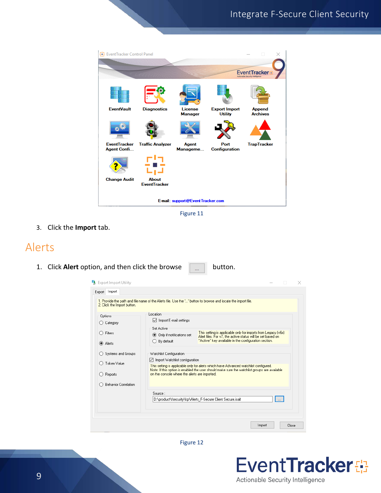| { <mark></mark> EventTracker Control Panel |                                     |                                  |                              | □                                                       |  |
|--------------------------------------------|-------------------------------------|----------------------------------|------------------------------|---------------------------------------------------------|--|
|                                            |                                     |                                  |                              | <b>EventTracker</b><br>Actionable Security Intelligence |  |
| <b>EventVault</b>                          | <b>Diagnostics</b>                  | License                          | <b>Export Import</b>         | <b>Append</b>                                           |  |
|                                            |                                     | <b>Manager</b>                   | <b>Utility</b>               | <b>Archives</b>                                         |  |
|                                            |                                     |                                  |                              |                                                         |  |
| <b>EventTracker</b><br><b>Agent Confi</b>  | <b>Traffic Analyzer</b>             | <b>Agent</b><br>Manageme         | Port<br><b>Configuration</b> | <b>TrapTracker</b>                                      |  |
|                                            |                                     |                                  |                              |                                                         |  |
| <b>Change Audit</b>                        | <b>About</b><br><b>EventTracker</b> |                                  |                              |                                                         |  |
|                                            |                                     | E-mail: support@EventTracker.com |                              |                                                         |  |

Figure 11

3. Click the **Import** tab.

### <span id="page-9-0"></span>Alerts

1. Click **Alert** option, and then click the browse  $\boxed{a}$  button.

| Export                      |                                               | 1. Provide the path and file name of the Alerts file. Use the '' button to browse and locate the import file.                |
|-----------------------------|-----------------------------------------------|------------------------------------------------------------------------------------------------------------------------------|
| 2. Click the Import button. |                                               |                                                                                                                              |
| Options                     | Location                                      |                                                                                                                              |
| Category                    | $\sqrt{\phantom{a}}$ Import E-mail settings   |                                                                                                                              |
|                             | Set Active                                    |                                                                                                                              |
| Filters                     | ● Only if notifications set                   | This setting is applicable only for imports from Legacy (v6x)<br>Alert files. For v7, the active status will be set based on |
| Alerts<br>$\odot$           | By default                                    | "Active" key available in the configuration section.                                                                         |
|                             |                                               |                                                                                                                              |
| Systems and Groups          | Watchlist Configuration                       |                                                                                                                              |
| Token Value                 | ◯ Import Watchlist configuration              | This setting is applicable only for alerts which have Advanced watchlist configured.                                         |
|                             |                                               | Note: If this option is enabled the user should make sure the watchlist groups are available                                 |
| Reports                     | on the console where the alerts are imported. |                                                                                                                              |
| <b>Behavior Correlation</b> |                                               |                                                                                                                              |
|                             | Source:                                       |                                                                                                                              |
|                             |                                               | D:\product\fsecurity\kp\Alerts_F-Secure Client Secure.isalt<br>$\cdots$                                                      |
|                             |                                               |                                                                                                                              |
|                             |                                               |                                                                                                                              |

Figure 12

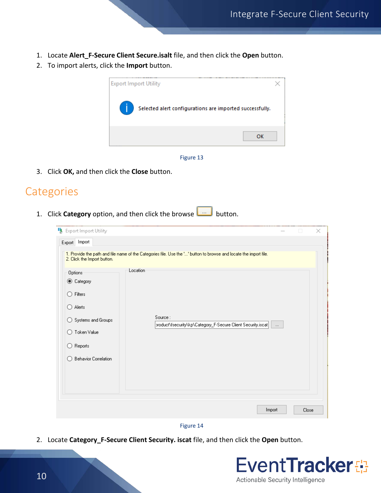- 1. Locate **Alert\_F-Secure Client Secure.isalt** file, and then click the **Open** button.
- 2. To import alerts, click the **Import** button.





3. Click **OK,** and then click the **Close** button.

### <span id="page-10-0"></span>**Categories**

1. Click **Category** option, and then click the browse **button**.

| Export Import Utility                                                                                                                            |          | п | ×     |
|--------------------------------------------------------------------------------------------------------------------------------------------------|----------|---|-------|
| Export Import                                                                                                                                    |          |   |       |
| 1. Provide the path and file name of the Categories file. Use the '' button to browse and locate the import file.<br>2. Click the Import button. |          |   |       |
| Location<br>Options                                                                                                                              |          |   |       |
| Category                                                                                                                                         |          |   |       |
| Filters<br>$\bigcirc$                                                                                                                            |          |   |       |
| $\bigcirc$ Alerts                                                                                                                                |          |   |       |
| Source:<br>◯ Systems and Groups<br>product\fsecurity\kp\Category_F-Secure Client Security.iscat                                                  | $\cdots$ |   |       |
| Token Value<br>$\left( \right)$                                                                                                                  |          |   |       |
| Reports<br>$\bigcirc$                                                                                                                            |          |   |       |
| <b>Behavior Correlation</b><br>( )                                                                                                               |          |   |       |
|                                                                                                                                                  |          |   |       |
|                                                                                                                                                  |          |   |       |
|                                                                                                                                                  |          |   |       |
|                                                                                                                                                  | Import   |   | Close |
|                                                                                                                                                  |          |   |       |



2. Locate **Category\_F-Secure Client Security. iscat** file, and then click the **Open** button.

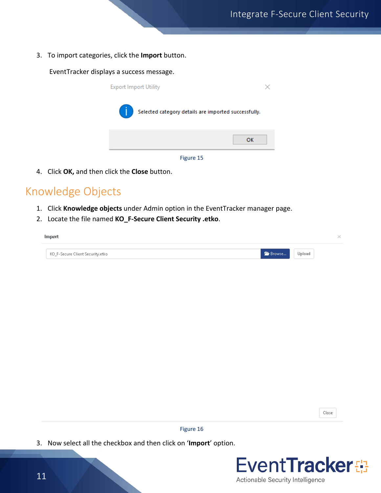3. To import categories, click the **Import** button.

EventTracker displays a success message.

| <b>Export Import Utility</b> |                                                      |  |  |  |  |
|------------------------------|------------------------------------------------------|--|--|--|--|
|                              | Selected category details are imported successfully. |  |  |  |  |
|                              | OK                                                   |  |  |  |  |
|                              | Figure 15                                            |  |  |  |  |

4. Click **OK,** and then click the **Close** button.

### <span id="page-11-0"></span>Knowledge Objects

- 1. Click **Knowledge objects** under Admin option in the EventTracker manager page.
- 2. Locate the file named **KO\_F-Secure Client Security .etko**.

| Import                           |        |        |  |
|----------------------------------|--------|--------|--|
| KO_F-Secure Client Security.etko | Browse | Upload |  |

| × |
|---|
|---|

Figure 16

3. Now select all the checkbox and then click on '**Import**' option.

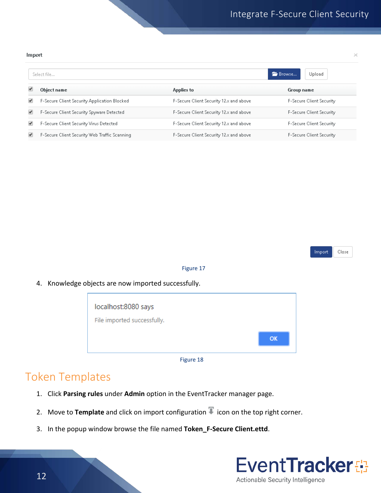×

#### Import

|   | Select file                                   |                                         | <b>Browse</b><br>Upload  |
|---|-----------------------------------------------|-----------------------------------------|--------------------------|
| ✔ | <b>Object name</b>                            | <b>Applies to</b>                       | Group name               |
| ✔ | F-Secure Client Security Application Blocked  | F-Secure Client Security 12.x and above | F-Secure Client Security |
| ✔ | F-Secure Client Security Spyware Detected     | F-Secure Client Security 12.x and above | F-Secure Client Security |
| ✔ | F-Secure Client Security Virus Detected       | F-Secure Client Security 12.x and above | F-Secure Client Security |
| ✔ | F-Secure Client Security Web Traffic Scanning | F-Secure Client Security 12.x and above | F-Secure Client Security |

Import Close

#### Figure 17

4. Knowledge objects are now imported successfully.

| localhost:8080 says         |           |
|-----------------------------|-----------|
| File imported successfully. |           |
|                             | <b>OK</b> |



### <span id="page-12-0"></span>Token Templates

- 1. Click **Parsing rules** under **Admin** option in the EventTracker manager page.
- 2. Move to Template and click on import configuration **in** icon on the top right corner.
- 3. In the popup window browse the file named **Token\_F-Secure Client.ettd**.

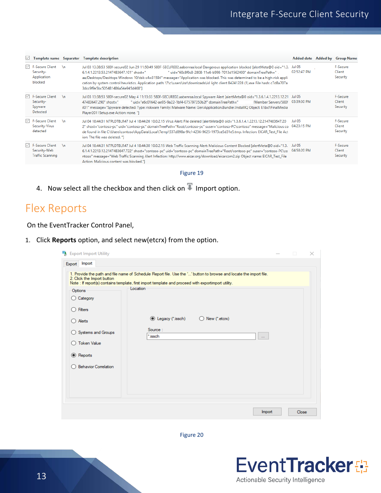|                                                                            |           | $\vee$ Template name Separator Template description                                                                                                                                                                                                                                                                                                                                                                                                                                                                                                       |                              | Added date Added by Group Name |
|----------------------------------------------------------------------------|-----------|-----------------------------------------------------------------------------------------------------------------------------------------------------------------------------------------------------------------------------------------------------------------------------------------------------------------------------------------------------------------------------------------------------------------------------------------------------------------------------------------------------------------------------------------------------------|------------------------------|--------------------------------|
| $\triangledown$ F-Secure Client<br>Security-<br>Application<br>blocked     | \n        | Jul 03 13:38:53 580f-secure02 Jun 29 11:50:49 580F-SECURE02.aabenraa.local Dangerous application blocked [alertMeta@0 oid="1.3.<br>6.1.4.1.2213.53.2147483647.101" shost="<br>"uid="60c8f0c8-2808-11e6-b998-7013d1562400" domainTreePath="<br>aa/Desktops/Desktops Windows 10/dsk-s4w31594" message="Application was blocked. This was determined to be a high-risk appli<br>cation by system control heuristics. Application path: \?\c:\users\ksr\downloads\isl light client 84241228 (1).exe File hash: c7d8a707a<br>3dcc9f9e5bc505481486a54e945d468"] | Jul 05<br>02:52:47 PM        | F-Secure<br>Client<br>Security |
| $\triangledown$ F-Secure Client<br>Security-<br>Spyware<br>Detected        | An.       | Jul 03 13:38:53 580f-secure02 May 4 11:13:33 580F-SECURE02.aabenraa.local Spyware Alert [alertMeta@0 oid="1.3.6.1.4.1.2213.12.21<br>"uid="e6c01642-ae95-9a22-1bf4-075797350b2f" domainTreePath="<br>/Member Servers/580f<br>47483647.290" shost="<br>il01" message="Spyware detected: Type: riskware Family: Malware Name: Gen:Application.Bundler.InstallIQ Object: E:\bcl\FinalMedia<br>Player2011Setup.exe Action: none. "]                                                                                                                            | Jul 05<br>03:39:30 PM        | F-Secure<br>Client<br>Security |
| $\triangleright$ F-Secure Client<br>Security-Virus<br>detected             | <b>\n</b> | Jul 04 18:44:31 NTPLDTBLR47 Jul 4 18:44:26 10.0.2.15 Virus Alert: File deleted [alertMeta@0 oid="1.3.6.1.4.1.2213.12.2147483647.20<br>2" shost="contoso-pc" uid="contoso-pc" domainTreePath="Root/contoso-pc" suser="contoso-PC\contoso" message="Malicious co<br>de found in file C:\Users\contoso\AppData\Local\Temp\537d898a-9fcf-4236-9625-1973ce5d31e5.tmp. Infection: EICAR_Test_File Act<br>ion: The file was deleted. "I                                                                                                                          | <b>Jul 05</b><br>04:23:15 PM | F-Secure<br>Client<br>Security |
| $\triangledown$ F-Secure Client<br>Security-Web<br><b>Traffic Scanning</b> | An.       | Jul 04 18:44:31 NTPLDTBLR47 Jul 4 18:44:30 10.0.2.15 Web Traffic Scanning Alert: Malicious Content Blocked [alertMeta@0 oid="1.3.<br>6.1.4.1.2213.12.2147483647.722" shost="contoso-pc" uid="contoso-pc" domainTreePath="Root/contoso-pc" suser="contoso-PC\co<br>ntoso" message="Web Traffic Scanning Alert Infection: http://www.eicar.org/download/eicarcom2.zip Object name: EICAR_Test_File<br>Action: Malicious content was blocked."]                                                                                                              | <b>Jul 05</b><br>04:58:20 PM | F-Secure<br>Client<br>Security |
|                                                                            |           |                                                                                                                                                                                                                                                                                                                                                                                                                                                                                                                                                           |                              |                                |

#### Figure 19

4. Now select all the checkbox and then click on  $\Gamma$  Import option.

### <span id="page-13-0"></span>Flex Reports

On the EventTracker Control Panel,

1. Click **Reports** option, and select new(etcrx) from the option.

|                             | Note : If report(s) contains template, first import template and proceed with exportimport utility.<br>Location |                          |          |  |
|-----------------------------|-----------------------------------------------------------------------------------------------------------------|--------------------------|----------|--|
| Options                     |                                                                                                                 |                          |          |  |
| $\bigcirc$ Category         |                                                                                                                 |                          |          |  |
| $\bigcirc$ Filters          |                                                                                                                 |                          |          |  |
| $\bigcirc$ Alerts           | ◉ Legacy (*.issch)                                                                                              | $\bigcirc$ New (*.etcnx) |          |  |
| Systems and Groups          | Source:                                                                                                         |                          |          |  |
|                             | *.issch                                                                                                         |                          | $\ldots$ |  |
| <b>Token Value</b><br>Ω     |                                                                                                                 |                          |          |  |
| ◉ Reports                   |                                                                                                                 |                          |          |  |
| <b>Behavior Correlation</b> |                                                                                                                 |                          |          |  |
|                             |                                                                                                                 |                          |          |  |
|                             |                                                                                                                 |                          |          |  |

Figure 20

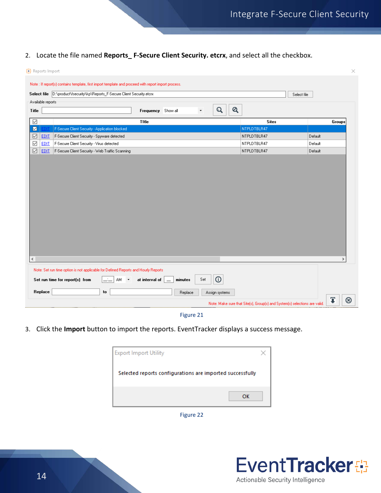2. Locate the file named **Reports\_ F-Secure Client Security. etcrx**, and select all the checkbox.

| { Reports Import<br>Note : If report(s) contains template, first import template and proceed with report import process. |                                                 |                           |                |              | ×             |  |  |  |  |  |
|--------------------------------------------------------------------------------------------------------------------------|-------------------------------------------------|---------------------------|----------------|--------------|---------------|--|--|--|--|--|
| Select file D:\product\fsecurity\kp\Reports_F-Secure Client Security.etcrx<br>Select file                                |                                                 |                           |                |              |               |  |  |  |  |  |
| Available reports                                                                                                        |                                                 |                           |                |              |               |  |  |  |  |  |
| Title                                                                                                                    | Q<br>$\bf{Q}$<br>Frequency Show all<br>۰        |                           |                |              |               |  |  |  |  |  |
| $\checkmark$                                                                                                             |                                                 | Title                     |                | <b>Sites</b> | Groups        |  |  |  |  |  |
| ☑                                                                                                                        | F-Secure Client Security - Application blocked  |                           |                | NTPLDTBLR47  |               |  |  |  |  |  |
| ☑<br>F-Secure Client Security - Spyware detected<br><b>EDIT</b>                                                          |                                                 |                           |                | NTPLDTBLR47  | Default       |  |  |  |  |  |
| $\checkmark$<br>EDIT<br>F-Secure Client Security - Virus detected                                                        |                                                 |                           |                | NTPLDTBLR47  | Default       |  |  |  |  |  |
| $\color{red}\heartsuit$<br>EDIT                                                                                          | F-Secure Client Security - Web Traffic Scanning |                           |                | NTPLDTBLR47  | Default       |  |  |  |  |  |
| $\,$ $\,$                                                                                                                |                                                 |                           |                |              | $\rightarrow$ |  |  |  |  |  |
| Note: Set run time option is not applicable for Defined Reports and Hourly Reports                                       |                                                 |                           |                |              |               |  |  |  |  |  |
| Set run time for report(s) from                                                                                          | AM<br>$\overline{\phantom{a}}$                  | at interval of<br>minutes | ⊙<br>Set       |              |               |  |  |  |  |  |
|                                                                                                                          |                                                 |                           |                |              |               |  |  |  |  |  |
| Replace                                                                                                                  | to                                              | Replace                   | Assign systems |              | T<br>⊗        |  |  |  |  |  |



3. Click the **Import** button to import the reports. EventTracker displays a success message.

| <b>Export Import Utility</b>                              |  |
|-----------------------------------------------------------|--|
| Selected reports configurations are imported successfully |  |
| ок                                                        |  |

Figure 22

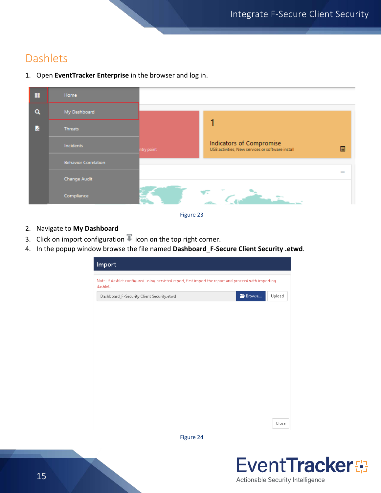### <span id="page-15-0"></span>**Dashlets**

1. Open **EventTracker Enterprise** in the browser and log in.



Figure 23

- 2. Navigate to **My Dashboard**
- 3. Click on import configuration  $\Gamma$  icon on the top right corner.
- 4. In the popup window browse the file named **Dashboard\_F-Secure Client Security .etwd**.

| Import                                                                                                             |        |        |
|--------------------------------------------------------------------------------------------------------------------|--------|--------|
| Note: If dashlet configured using persisted report, first import the report and proceed with importing<br>dashlet. |        |        |
| Dashboard_F-Security Client Security.etwd                                                                          | Browse | Upload |
|                                                                                                                    |        |        |
|                                                                                                                    |        |        |
|                                                                                                                    |        |        |
|                                                                                                                    |        |        |
|                                                                                                                    |        |        |
|                                                                                                                    |        |        |
|                                                                                                                    |        |        |
|                                                                                                                    |        |        |
|                                                                                                                    |        |        |
|                                                                                                                    |        |        |
|                                                                                                                    |        | Close  |
| Figure 24                                                                                                          |        |        |
|                                                                                                                    |        |        |

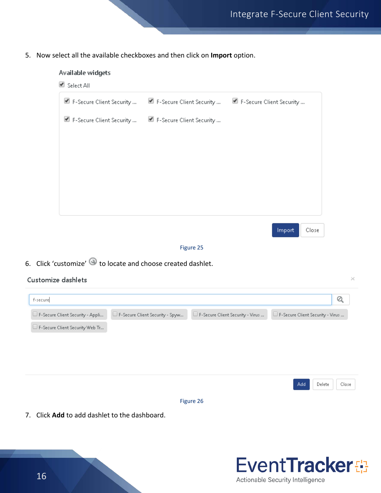5. Now select all the available checkboxes and then click on **Import** option.

#### Available widgets

#### Select All



Figure 25

6. Click 'customize'  $\odot$  to locate and choose created dashlet.

### Customize dashlets  $\times$ f-securel Q F-Secure Client Security - Spyw...  $\square$  F-Secure Client Security - Virus ...  $\square$  F-Secure Client Security - Appli... E F-Secure Client Security - Virus ...  $\square$  F-Secure Client Security Web Tr... Add Delete Close Figure 26

7. Click **Add** to add dashlet to the dashboard.

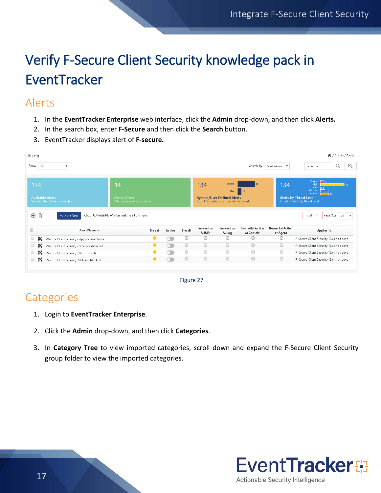# <span id="page-17-0"></span>Verify F-Secure Client Security knowledge pack in **EventTracker**

### <span id="page-17-1"></span>Alerts

- 1. In the **EventTracker Enterprise** web interface, click the **Admin** drop-down, and then click **Alerts.**
- 2. In the search box, enter **F-Secure** and then click the **Search** button.
- 3. EventTracker displays alert of **F-secure.**

| ← / Admin / Alerts<br>Alerts                                       |                                                             |          |        |                           |                                                                                                 |                                      |                                    |                                                                                                                                                                          |
|--------------------------------------------------------------------|-------------------------------------------------------------|----------|--------|---------------------------|-------------------------------------------------------------------------------------------------|--------------------------------------|------------------------------------|--------------------------------------------------------------------------------------------------------------------------------------------------------------------------|
| Show<br>All<br>$\mathbf{v}$                                        |                                                             |          |        |                           |                                                                                                 | Search by                            | Alert name                         | Q<br>Q<br>f-secure                                                                                                                                                       |
| 134<br><b>Available Alerts</b><br>Total number of alerts available | 14<br><b>Active Alerts</b><br>Total number of active alerts |          |        | 134                       | System<br>User<br><b>System/User Defined Alerts</b><br>Count for system and user defined alerts | 111<br>$\blacksquare$ 23             | 134                                | Critical<br>$\Box$ 10<br>High<br>178<br>Low-<br>$\Pi$ 4<br>Ë 15.<br>Medium<br>Serious<br>$\equiv$ 27<br><b>Alerts by Threat Level</b><br>Count of alerts by threat level |
| 面<br>$\oplus$<br>Activate Now                                      | Click 'Activate Now' after making all changes               |          |        |                           |                                                                                                 |                                      |                                    | Page Size<br>Total:<br>$\overline{4}$<br>25<br>$\boldsymbol{\mathrm{v}}$                                                                                                 |
| 0<br>Alert Name A                                                  | <b>Threat</b>                                               | Active   | E-mail | Forward as<br><b>SNMP</b> | Forward as<br>Syslog                                                                            | <b>Remedial Action</b><br>at Console | <b>Remedial Action</b><br>at Agent | <b>Applies To</b>                                                                                                                                                        |
| ෯෯ F-Secure Client Security - Application blocked<br>0             |                                                             | ∩.       | 0      | 0                         | □                                                                                               | □                                    | 0                                  | F-Secure Client Security 12.x and above                                                                                                                                  |
| <b>88</b> F-Secure Client Security - Spyware detected<br>0         |                                                             | $\cap$   | 0      | $\Box$                    | $\Box$                                                                                          | $\Box$                               | $\Box$                             | F-Secure Client Security 12.x and above                                                                                                                                  |
| 60 F-Secure Client Security - Virus detected<br>O                  |                                                             | $\cap$ . | 0      | $\Box$                    | $\Box$                                                                                          | $\Box$                               | 0                                  | F-Secure Client Security 12.x and above                                                                                                                                  |
| § F-Secure Client Security: Malware blocked<br>0                   | $\bullet$                                                   | $\cap$   | $\Box$ | 0                         | 0                                                                                               | 0                                    | 0                                  | F-Secure Client Security 12.x and above                                                                                                                                  |

Figure 27

### <span id="page-17-2"></span>**Categories**

- 1. Login to **EventTracker Enterprise**.
- 2. Click the **Admin** drop-down, and then click **Categories**.
- 3. In **Category Tree** to view imported categories, scroll down and expand the F-Secure Client Security group folder to view the imported categories.

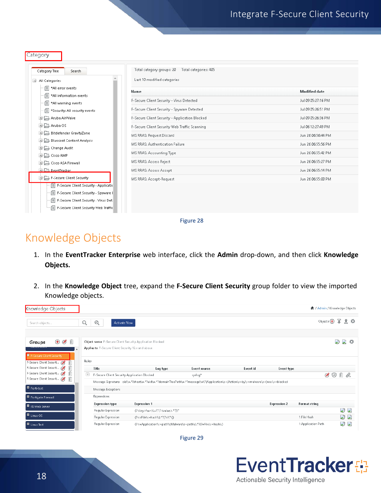| г.<br>eг. |  |
|-----------|--|
|           |  |

| Category Tree<br>Search                                                                                                                                                | Total category groups: 20<br>Total categories: 405 |                      |  |  |  |  |  |
|------------------------------------------------------------------------------------------------------------------------------------------------------------------------|----------------------------------------------------|----------------------|--|--|--|--|--|
| - All Categories                                                                                                                                                       | Last 10 modified categories                        |                      |  |  |  |  |  |
| □ *All error events                                                                                                                                                    | Name                                               | <b>Modified date</b> |  |  |  |  |  |
| □ *All information events<br>□ *All warning events                                                                                                                     | F-Secure Client Security - Virus Detected          | Jul 09 05:27:16 PM   |  |  |  |  |  |
| □ *Security: All security events                                                                                                                                       | F-Secure Client Security - Spyware Detected        | Jul 09 05:26:51 PM   |  |  |  |  |  |
| <b>Aruba AirWaive</b>                                                                                                                                                  | F-Secure Client Security - Application Blocked     | Jul 09 05:26:36 PM   |  |  |  |  |  |
| <b>D</b> Aruba OS                                                                                                                                                      | F-Secure Client Security Web Traffic Scanning      | Jul 06 12:27:49 PM   |  |  |  |  |  |
| Bitdefender GravityZone                                                                                                                                                | MS RRAS: Request Discard                           | Jun 26 06:56:44 PM   |  |  |  |  |  |
| Bluecoat Content Analysis<br><b>August Change Audit</b>                                                                                                                | <b>MS RRAS: Authentication Failure</b>             | Jun 26 06:55:56 PM   |  |  |  |  |  |
| <b>D</b> Cisco AMP                                                                                                                                                     | MS RRAS: Accounting Type                           | Jun 26 06:55:42 PM   |  |  |  |  |  |
| 中口 Cisco ASA Firewall                                                                                                                                                  | MS RRAS: Access Reject                             | Jun 26 06:55:27 PM   |  |  |  |  |  |
| EventTracker                                                                                                                                                           | MS RRAS: Access Accept                             | Jun 26 06:55:14 PM   |  |  |  |  |  |
| $\Box$ F-Secure Client Security                                                                                                                                        | MS RRAS: Accept-Request                            | Jun 26 06:55:00 PM   |  |  |  |  |  |
| F F-Secure Client Security - Applicatic<br>F F-Secure Client Security - Spyware I<br>F-Secure Client Security - Virus Det<br>囼<br>F-Secure Client Security Web Traffic |                                                    |                      |  |  |  |  |  |

Figure 28

### <span id="page-18-0"></span>Knowledge Objects

- 1. In the **EventTracker Enterprise** web interface, click the **Admin** drop-down, and then click **Knowledge Objects.**
- 2. In the **Knowledge Object** tree, expand the **F-Secure Client Security** group folder to view the imported Knowledge objects.

| Knowledge Objects                                          |                                                             |                                                                                                                                   |                                                                |                 |                     |                    | ← / Admin / Knowledge Objects    |         |  |  |
|------------------------------------------------------------|-------------------------------------------------------------|-----------------------------------------------------------------------------------------------------------------------------------|----------------------------------------------------------------|-----------------|---------------------|--------------------|----------------------------------|---------|--|--|
| Search objects                                             | $\alpha$<br>Activate Now<br>$\mathbf Q$                     |                                                                                                                                   |                                                                |                 |                     |                    | Objects <b>中国直導</b>              |         |  |  |
| $\oplus$ 0 $\oplus$<br>Groups                              | Object name F-Secure Client Security Application Blocked    |                                                                                                                                   |                                                                |                 |                     |                    | D                                | D.<br>o |  |  |
| F-Secure Client Security<br>F-Secure Client Securit (<br>Ŵ | Applies to F-Secure Client Security 12.x and above<br>Rules |                                                                                                                                   |                                                                |                 |                     |                    |                                  |         |  |  |
| Ŵ<br>F-Secure Client Securit (                             | Title                                                       | Log type                                                                                                                          | <b>Event source</b>                                            | <b>Event id</b> | <b>Event type</b>   |                    |                                  |         |  |  |
| íÑ<br>F-Secure Client Securit (                            | $\boxplus$<br>F-Secure Client Security Application Blocked  |                                                                                                                                   | syslog*                                                        |                 |                     |                    | $\mathscr{A} \odot \mathbb{m}$ 2 |         |  |  |
| 而<br>F-Secure Client Securit (                             |                                                             | Message Signature: oid\=.*?shost\=.*?uid\=.*?domainTreePath\=.*?message\=\"(Application\s+ Action\s+by\s+malware\s+)was\s+blocked |                                                                |                 |                     |                    |                                  |         |  |  |
| Forti-test                                                 | Message Exception:                                          |                                                                                                                                   |                                                                |                 |                     |                    |                                  |         |  |  |
| Fortigate Firewall                                         | Expressions                                                 |                                                                                                                                   |                                                                |                 |                     |                    |                                  |         |  |  |
| I IIS Web Server                                           | <b>Expression type</b>                                      | <b>Expression 1</b>                                                                                                               |                                                                |                 | <b>Expression 2</b> | Format string      |                                  |         |  |  |
|                                                            | Requiar Expression                                          | (? <key>\w+)\=\"(?<value>.*?)\"</value></key>                                                                                     |                                                                |                 |                     |                    |                                  | コス      |  |  |
| $\blacksquare$ Linux OS                                    | Regular Expression                                          | (?<=File\s+hash\:).*?(?=\"\])                                                                                                     |                                                                |                 |                     | 1:File Hash        |                                  | $\Box$  |  |  |
| III Linux Test                                             | Regular Expression                                          |                                                                                                                                   | (?<=Application\s+path\; Malware\s+path\;).*?(?=File\s+hash\;) |                 |                     | 1:Application Path |                                  | D<br>b. |  |  |

Figure 29

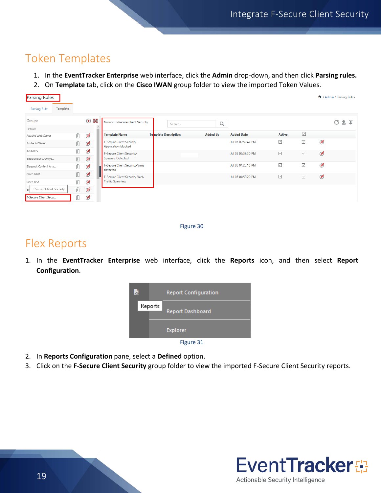### <span id="page-19-0"></span>Token Templates

- 1. In the **EventTracker Enterprise** web interface, click the **Admin** drop-down, and then click **Parsing rules.**
- 2. On **Template** tab, click on the **Cisco IWAN** group folder to view the imported Token Values.

| <b>Parsing Rules</b>            |   |                     |                                                         |                      |                 |                    |               |              |   | ← / Admin / Parsing Rules |
|---------------------------------|---|---------------------|---------------------------------------------------------|----------------------|-----------------|--------------------|---------------|--------------|---|---------------------------|
| Template<br><b>Parsing Rule</b> |   |                     |                                                         |                      |                 |                    |               |              |   |                           |
| Groups                          |   | 鼺<br>$^{\circledR}$ | Group : F-Secure Client Security                        | Search               | $\mathsf{Q}$    |                    |               |              |   | ごます                       |
| Default                         |   |                     |                                                         |                      |                 |                    |               |              |   |                           |
| Apache Web Server               | Ũ | Ø                   | <b>Template Name</b>                                    | Template Description | <b>Added By</b> | <b>Added Date</b>  | <b>Active</b> | $\checkmark$ |   |                           |
| Aruba AirWave                   | Û | Ø                   | F-Secure Client Security-<br><b>Application blocked</b> |                      |                 | Jul 05 02:52:47 PM | $\checkmark$  | $\checkmark$ | Ø |                           |
| ArubaOS                         | Ũ | Ø                   | F-Secure Client Security-                               |                      |                 | Jul 05 03:39:30 PM | $\checkmark$  | $\checkmark$ | Ø |                           |
| Bitdefender GravityZ            | Ũ | Ø                   | <b>Spyware Detected</b>                                 |                      |                 |                    |               |              |   |                           |
| Bluecoat Content Ana            | Û | Ø                   | F-Secure Client Security-Virus<br>detected              |                      |                 | Jul 05 04:23:15 PM | $\checkmark$  | $\checkmark$ | Ø |                           |
| Cisco AMP                       | Ũ | Ø                   | F-Secure Client Security-Web                            |                      |                 | Jul 05 04:58:20 PM | $\checkmark$  | $\checkmark$ | Ø |                           |
| Cisco ASA                       | Ũ | Ø                   | <b>Traffic Scanning</b>                                 |                      |                 |                    |               |              |   |                           |
| F-Secure Client Security<br>Evi | Ť | Ø                   |                                                         |                      |                 |                    |               |              |   |                           |
| F-Secure Client Secu            | Ñ | Ø                   |                                                         |                      |                 |                    |               |              |   |                           |

#### Figure 30

### <span id="page-19-1"></span>Flex Reports

1. In the **EventTracker Enterprise** web interface, click the **Reports** icon, and then select **Report Configuration**.



- 2. In **Reports Configuration** pane, select a **Defined** option.
- 3. Click on the **F-Secure Client Security** group folder to view the imported F-Secure Client Security reports.

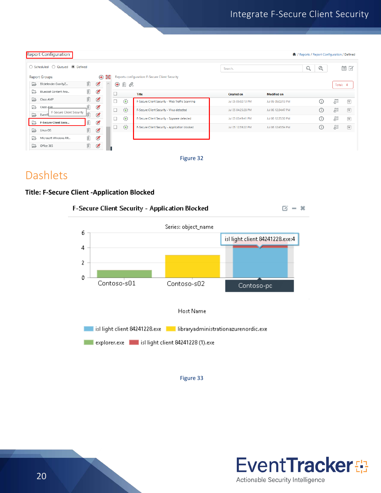| <b>Report Configuration</b><br>Reports / Report Configuration / Defined                  |                    |                   |         |                                   |                                                 |        |                    |                    |         |          |                                          |
|------------------------------------------------------------------------------------------|--------------------|-------------------|---------|-----------------------------------|-------------------------------------------------|--------|--------------------|--------------------|---------|----------|------------------------------------------|
| ○ Scheduled ○ Queued ● Defined                                                           |                    |                   |         |                                   |                                                 | Search |                    | Q<br>Q             | 画区      |          |                                          |
| 鼺<br>$\oplus$<br>Reports configuration: F-Secure Client Security<br><b>Report Groups</b> |                    |                   |         |                                   |                                                 |        |                    |                    |         |          |                                          |
| □<br>Bitdefender GravityZ                                                                | 面                  | Ø                 | $\land$ | $\mathbb{I}$ e.<br>$^{\circledR}$ |                                                 |        |                    |                    |         | Total: 4 |                                          |
| ط<br>Bluecoat Content Ana                                                                | Û                  | Ø                 |         |                                   | <b>Title</b>                                    |        | <b>Created on</b>  | <b>Modified on</b> |         |          |                                          |
| ہا<br>Cisco AMP                                                                          | 而                  | Ø                 |         | ₩                                 | F-Secure Client Security - Web Traffic Scanning |        | Jul 05 05:02:13 PM | Jul 05 05:02:13 PM | $\odot$ | F        | $+$                                      |
| ₽<br>Cisco ASA<br>F-Secure Client Security<br>₿<br>Event <sub>1</sub>                    |                    | Ø<br>$\mathscr G$ |         | 恐                                 | F-Secure Client Security - Virus detected       |        | Jul 05 04:25:28 PM | Jul 06 12:34:47 PM | ⊕       | F        | $\begin{array}{c} \boxed{+} \end{array}$ |
| ⋻<br>F-Secure Client Secu                                                                | Ñ                  | Ø                 |         | ₩                                 | F-Secure Client Security - Spyware detected     |        | Jul 05 03:49:41 PM | Jul 06 12:35:50 PM | ⋒       | F        | $+$                                      |
| ط<br>Linux OS                                                                            | $\bar{\mathbb{I}}$ | Ø                 |         | 懲                                 | F-Secure Client Security - Application blocked  |        | Jul 05 12:59:22 PM | Jul 06 12:43:54 PM | $\odot$ | F        | $\boxed{+}$                              |
| 旋<br>Microsoft Windows RR                                                                | Û                  | Ø                 |         |                                   |                                                 |        |                    |                    |         |          |                                          |
| ₿<br>Office 365                                                                          | $\blacksquare$     | Ø                 |         |                                   |                                                 |        |                    |                    |         |          |                                          |
|                                                                                          |                    |                   |         |                                   |                                                 |        |                    |                    |         |          |                                          |



### <span id="page-20-0"></span>Dashlets

#### **Title: F-Secure Client -Application Blocked**





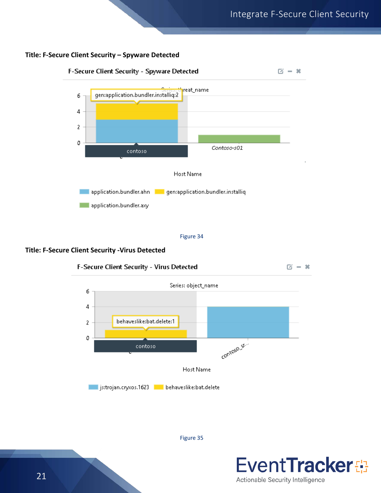#### **Title: F-Secure Client Security – Spyware Detected**



Figure 34

#### **Title: F-Secure Client Security -Virus Detected**



Figure 35